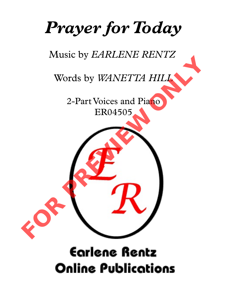# *Prayer for Today*

## Music by *EARLENE RENTZ*

## Words by *WANETTA HILL*

2-Part Voices and Piano ER04505



## **Earlene Rentz Online Publications**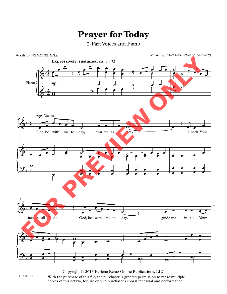### **Prayer for Today**

#### 2-Part Voices and Piano



Copyright © 2013 Earlene Rentz Online Publications, LLC ER04505 With the purchase of this file, the purchaser is granted permission to make multiple copies of this octavo, for use only in purchaser's choral rehearsal and performance.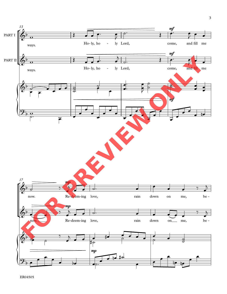

ER04505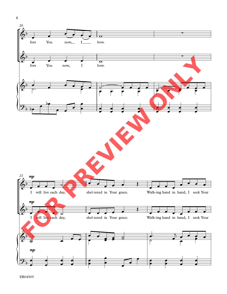

ER04505

4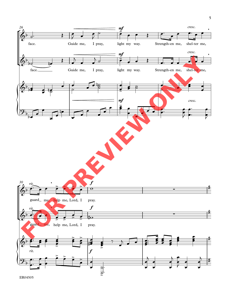